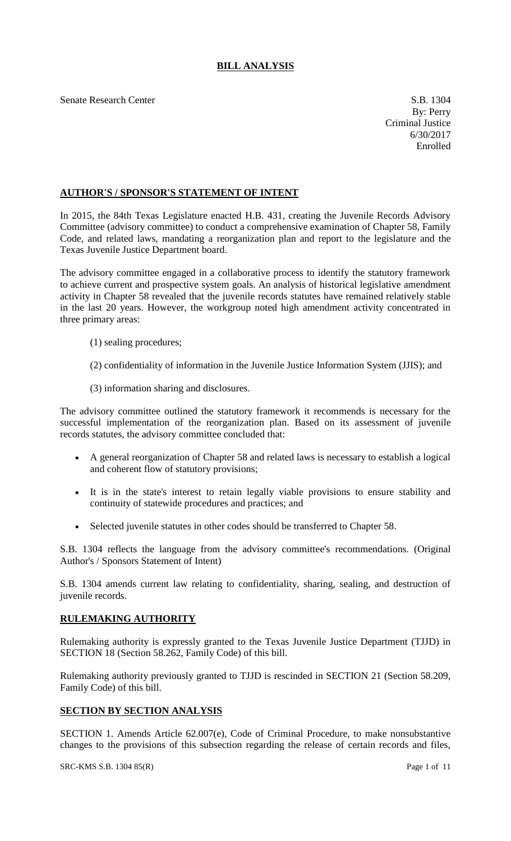# **BILL ANALYSIS**

Senate Research Center S.B. 1304

### **AUTHOR'S / SPONSOR'S STATEMENT OF INTENT**

In 2015, the 84th Texas Legislature enacted H.B. 431, creating the Juvenile Records Advisory Committee (advisory committee) to conduct a comprehensive examination of Chapter 58, Family Code, and related laws, mandating a reorganization plan and report to the legislature and the Texas Juvenile Justice Department board.

The advisory committee engaged in a collaborative process to identify the statutory framework to achieve current and prospective system goals. An analysis of historical legislative amendment activity in Chapter 58 revealed that the juvenile records statutes have remained relatively stable in the last 20 years. However, the workgroup noted high amendment activity concentrated in three primary areas:

- (1) sealing procedures;
- (2) confidentiality of information in the Juvenile Justice Information System (JJIS); and
- (3) information sharing and disclosures.

The advisory committee outlined the statutory framework it recommends is necessary for the successful implementation of the reorganization plan. Based on its assessment of juvenile records statutes, the advisory committee concluded that:

- A general reorganization of Chapter 58 and related laws is necessary to establish a logical and coherent flow of statutory provisions;
- It is in the state's interest to retain legally viable provisions to ensure stability and continuity of statewide procedures and practices; and
- Selected juvenile statutes in other codes should be transferred to Chapter 58.

S.B. 1304 reflects the language from the advisory committee's recommendations. (Original Author's / Sponsors Statement of Intent)

S.B. 1304 amends current law relating to confidentiality, sharing, sealing, and destruction of juvenile records.

## **RULEMAKING AUTHORITY**

Rulemaking authority is expressly granted to the Texas Juvenile Justice Department (TJJD) in SECTION 18 (Section 58.262, Family Code) of this bill.

Rulemaking authority previously granted to TJJD is rescinded in SECTION 21 (Section 58.209, Family Code) of this bill.

#### **SECTION BY SECTION ANALYSIS**

SECTION 1. Amends Article 62.007(e), Code of Criminal Procedure, to make nonsubstantive changes to the provisions of this subsection regarding the release of certain records and files,

#### SRC-KMS S.B. 1304 85(R) Page 1 of 11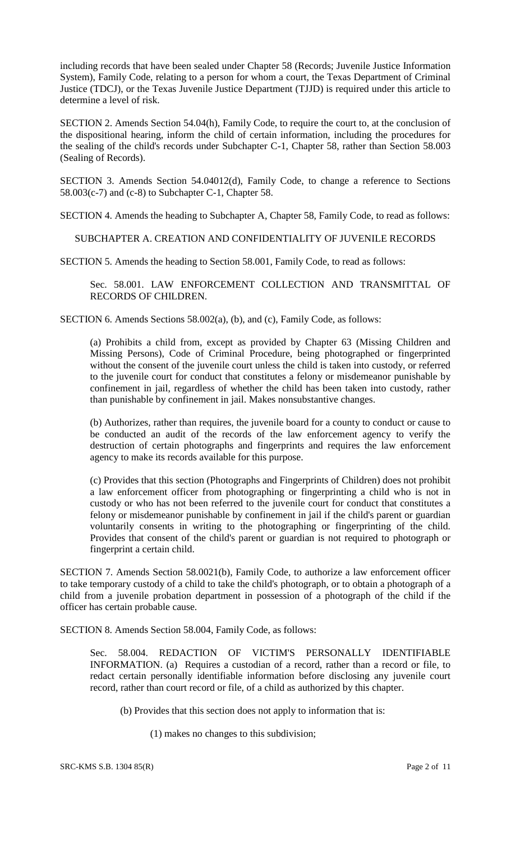including records that have been sealed under Chapter 58 (Records; Juvenile Justice Information System), Family Code, relating to a person for whom a court, the Texas Department of Criminal Justice (TDCJ), or the Texas Juvenile Justice Department (TJJD) is required under this article to determine a level of risk.

SECTION 2. Amends Section 54.04(h), Family Code, to require the court to, at the conclusion of the dispositional hearing, inform the child of certain information, including the procedures for the sealing of the child's records under Subchapter C-1, Chapter 58, rather than Section 58.003 (Sealing of Records).

SECTION 3. Amends Section 54.04012(d), Family Code, to change a reference to Sections  $58.003(c-7)$  and  $(c-8)$  to Subchapter C-1, Chapter 58.

SECTION 4. Amends the heading to Subchapter A, Chapter 58, Family Code, to read as follows:

SUBCHAPTER A. CREATION AND CONFIDENTIALITY OF JUVENILE RECORDS

SECTION 5. Amends the heading to Section 58.001, Family Code, to read as follows:

Sec. 58.001. LAW ENFORCEMENT COLLECTION AND TRANSMITTAL OF RECORDS OF CHILDREN.

SECTION 6. Amends Sections 58.002(a), (b), and (c), Family Code, as follows:

(a) Prohibits a child from, except as provided by Chapter 63 (Missing Children and Missing Persons), Code of Criminal Procedure, being photographed or fingerprinted without the consent of the juvenile court unless the child is taken into custody, or referred to the juvenile court for conduct that constitutes a felony or misdemeanor punishable by confinement in jail, regardless of whether the child has been taken into custody, rather than punishable by confinement in jail. Makes nonsubstantive changes.

(b) Authorizes, rather than requires, the juvenile board for a county to conduct or cause to be conducted an audit of the records of the law enforcement agency to verify the destruction of certain photographs and fingerprints and requires the law enforcement agency to make its records available for this purpose.

(c) Provides that this section (Photographs and Fingerprints of Children) does not prohibit a law enforcement officer from photographing or fingerprinting a child who is not in custody or who has not been referred to the juvenile court for conduct that constitutes a felony or misdemeanor punishable by confinement in jail if the child's parent or guardian voluntarily consents in writing to the photographing or fingerprinting of the child. Provides that consent of the child's parent or guardian is not required to photograph or fingerprint a certain child.

SECTION 7. Amends Section 58.0021(b), Family Code, to authorize a law enforcement officer to take temporary custody of a child to take the child's photograph, or to obtain a photograph of a child from a juvenile probation department in possession of a photograph of the child if the officer has certain probable cause.

SECTION 8. Amends Section 58.004, Family Code, as follows:

Sec. 58.004. REDACTION OF VICTIM'S PERSONALLY IDENTIFIABLE INFORMATION. (a) Requires a custodian of a record, rather than a record or file, to redact certain personally identifiable information before disclosing any juvenile court record, rather than court record or file, of a child as authorized by this chapter.

(b) Provides that this section does not apply to information that is:

(1) makes no changes to this subdivision;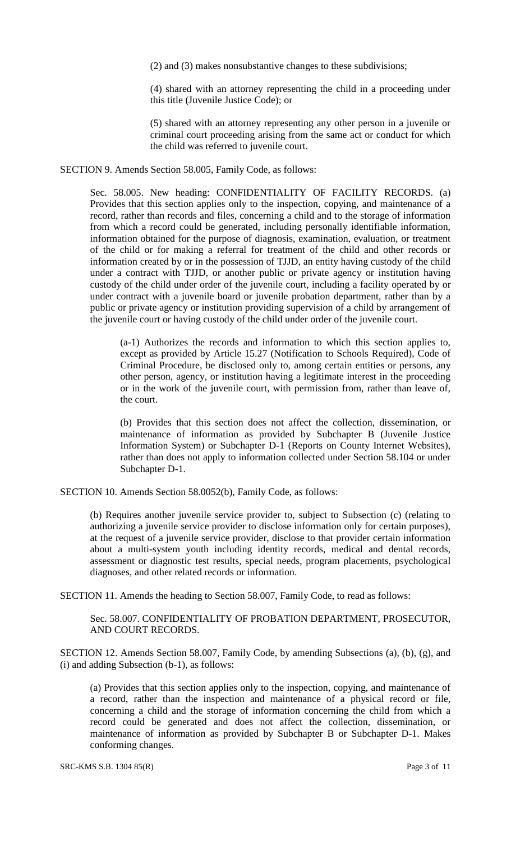(2) and (3) makes nonsubstantive changes to these subdivisions;

(4) shared with an attorney representing the child in a proceeding under this title (Juvenile Justice Code); or

(5) shared with an attorney representing any other person in a juvenile or criminal court proceeding arising from the same act or conduct for which the child was referred to juvenile court.

SECTION 9. Amends Section 58.005, Family Code, as follows:

Sec. 58.005. New heading: CONFIDENTIALITY OF FACILITY RECORDS. (a) Provides that this section applies only to the inspection, copying, and maintenance of a record, rather than records and files, concerning a child and to the storage of information from which a record could be generated, including personally identifiable information, information obtained for the purpose of diagnosis, examination, evaluation, or treatment of the child or for making a referral for treatment of the child and other records or information created by or in the possession of TJJD, an entity having custody of the child under a contract with TJJD, or another public or private agency or institution having custody of the child under order of the juvenile court, including a facility operated by or under contract with a juvenile board or juvenile probation department, rather than by a public or private agency or institution providing supervision of a child by arrangement of the juvenile court or having custody of the child under order of the juvenile court.

(a-1) Authorizes the records and information to which this section applies to, except as provided by Article 15.27 (Notification to Schools Required), Code of Criminal Procedure, be disclosed only to, among certain entities or persons, any other person, agency, or institution having a legitimate interest in the proceeding or in the work of the juvenile court, with permission from, rather than leave of, the court.

(b) Provides that this section does not affect the collection, dissemination, or maintenance of information as provided by Subchapter B (Juvenile Justice Information System) or Subchapter D-1 (Reports on County Internet Websites), rather than does not apply to information collected under Section 58.104 or under Subchapter D-1.

SECTION 10. Amends Section 58.0052(b), Family Code, as follows:

(b) Requires another juvenile service provider to, subject to Subsection (c) (relating to authorizing a juvenile service provider to disclose information only for certain purposes), at the request of a juvenile service provider, disclose to that provider certain information about a multi-system youth including identity records, medical and dental records, assessment or diagnostic test results, special needs, program placements, psychological diagnoses, and other related records or information.

SECTION 11. Amends the heading to Section 58.007, Family Code, to read as follows:

Sec. 58.007. CONFIDENTIALITY OF PROBATION DEPARTMENT, PROSECUTOR, AND COURT RECORDS.

SECTION 12. Amends Section 58.007, Family Code, by amending Subsections (a), (b), (g), and (i) and adding Subsection (b-1), as follows:

(a) Provides that this section applies only to the inspection, copying, and maintenance of a record, rather than the inspection and maintenance of a physical record or file, concerning a child and the storage of information concerning the child from which a record could be generated and does not affect the collection, dissemination, or maintenance of information as provided by Subchapter B or Subchapter D-1. Makes conforming changes.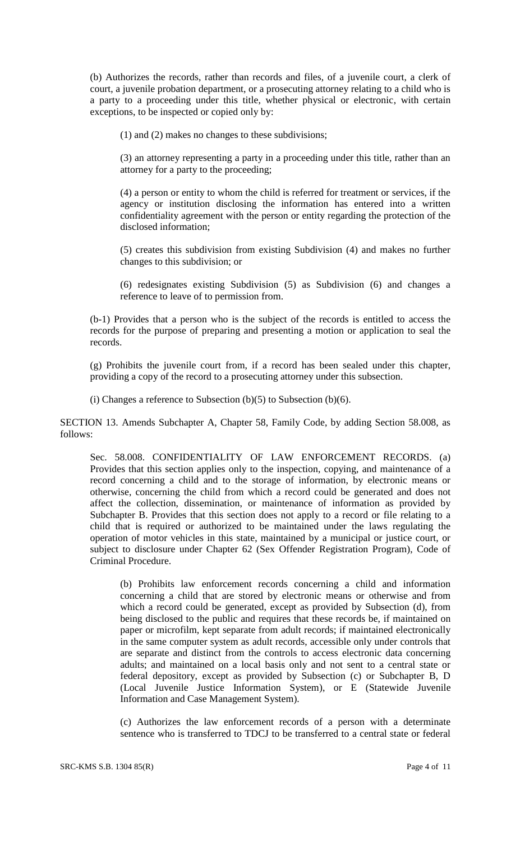(b) Authorizes the records, rather than records and files, of a juvenile court, a clerk of court, a juvenile probation department, or a prosecuting attorney relating to a child who is a party to a proceeding under this title, whether physical or electronic, with certain exceptions, to be inspected or copied only by:

(1) and (2) makes no changes to these subdivisions;

(3) an attorney representing a party in a proceeding under this title, rather than an attorney for a party to the proceeding;

(4) a person or entity to whom the child is referred for treatment or services, if the agency or institution disclosing the information has entered into a written confidentiality agreement with the person or entity regarding the protection of the disclosed information;

(5) creates this subdivision from existing Subdivision (4) and makes no further changes to this subdivision; or

(6) redesignates existing Subdivision (5) as Subdivision (6) and changes a reference to leave of to permission from.

(b-1) Provides that a person who is the subject of the records is entitled to access the records for the purpose of preparing and presenting a motion or application to seal the records.

(g) Prohibits the juvenile court from, if a record has been sealed under this chapter, providing a copy of the record to a prosecuting attorney under this subsection.

(i) Changes a reference to Subsection (b)(5) to Subsection (b)(6).

SECTION 13. Amends Subchapter A, Chapter 58, Family Code, by adding Section 58.008, as follows:

Sec. 58.008. CONFIDENTIALITY OF LAW ENFORCEMENT RECORDS. (a) Provides that this section applies only to the inspection, copying, and maintenance of a record concerning a child and to the storage of information, by electronic means or otherwise, concerning the child from which a record could be generated and does not affect the collection, dissemination, or maintenance of information as provided by Subchapter B. Provides that this section does not apply to a record or file relating to a child that is required or authorized to be maintained under the laws regulating the operation of motor vehicles in this state, maintained by a municipal or justice court, or subject to disclosure under Chapter 62 (Sex Offender Registration Program), Code of Criminal Procedure.

(b) Prohibits law enforcement records concerning a child and information concerning a child that are stored by electronic means or otherwise and from which a record could be generated, except as provided by Subsection (d), from being disclosed to the public and requires that these records be, if maintained on paper or microfilm, kept separate from adult records; if maintained electronically in the same computer system as adult records, accessible only under controls that are separate and distinct from the controls to access electronic data concerning adults; and maintained on a local basis only and not sent to a central state or federal depository, except as provided by Subsection (c) or Subchapter B, D (Local Juvenile Justice Information System), or E (Statewide Juvenile Information and Case Management System).

(c) Authorizes the law enforcement records of a person with a determinate sentence who is transferred to TDCJ to be transferred to a central state or federal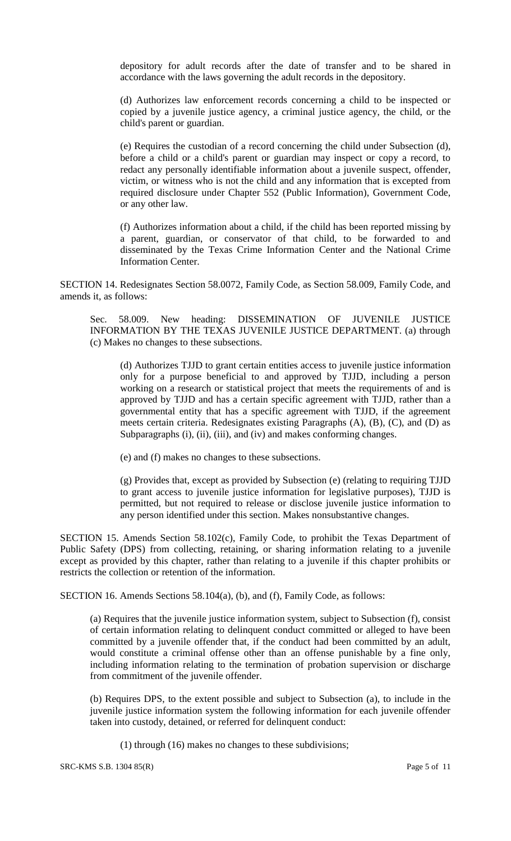depository for adult records after the date of transfer and to be shared in accordance with the laws governing the adult records in the depository.

(d) Authorizes law enforcement records concerning a child to be inspected or copied by a juvenile justice agency, a criminal justice agency, the child, or the child's parent or guardian.

(e) Requires the custodian of a record concerning the child under Subsection (d), before a child or a child's parent or guardian may inspect or copy a record, to redact any personally identifiable information about a juvenile suspect, offender, victim, or witness who is not the child and any information that is excepted from required disclosure under Chapter 552 (Public Information), Government Code, or any other law.

(f) Authorizes information about a child, if the child has been reported missing by a parent, guardian, or conservator of that child, to be forwarded to and disseminated by the Texas Crime Information Center and the National Crime Information Center.

SECTION 14. Redesignates Section 58.0072, Family Code, as Section 58.009, Family Code, and amends it, as follows:

Sec. 58.009. New heading: DISSEMINATION OF JUVENILE JUSTICE INFORMATION BY THE TEXAS JUVENILE JUSTICE DEPARTMENT. (a) through (c) Makes no changes to these subsections.

(d) Authorizes TJJD to grant certain entities access to juvenile justice information only for a purpose beneficial to and approved by TJJD, including a person working on a research or statistical project that meets the requirements of and is approved by TJJD and has a certain specific agreement with TJJD, rather than a governmental entity that has a specific agreement with TJJD, if the agreement meets certain criteria. Redesignates existing Paragraphs (A), (B), (C), and (D) as Subparagraphs (i), (ii), (iii), and (iv) and makes conforming changes.

(e) and (f) makes no changes to these subsections.

(g) Provides that, except as provided by Subsection (e) (relating to requiring TJJD to grant access to juvenile justice information for legislative purposes), TJJD is permitted, but not required to release or disclose juvenile justice information to any person identified under this section. Makes nonsubstantive changes.

SECTION 15. Amends Section 58.102(c), Family Code, to prohibit the Texas Department of Public Safety (DPS) from collecting, retaining, or sharing information relating to a juvenile except as provided by this chapter, rather than relating to a juvenile if this chapter prohibits or restricts the collection or retention of the information.

SECTION 16. Amends Sections 58.104(a), (b), and (f), Family Code, as follows:

(a) Requires that the juvenile justice information system, subject to Subsection (f), consist of certain information relating to delinquent conduct committed or alleged to have been committed by a juvenile offender that, if the conduct had been committed by an adult, would constitute a criminal offense other than an offense punishable by a fine only, including information relating to the termination of probation supervision or discharge from commitment of the juvenile offender.

(b) Requires DPS, to the extent possible and subject to Subsection (a), to include in the juvenile justice information system the following information for each juvenile offender taken into custody, detained, or referred for delinquent conduct:

(1) through (16) makes no changes to these subdivisions;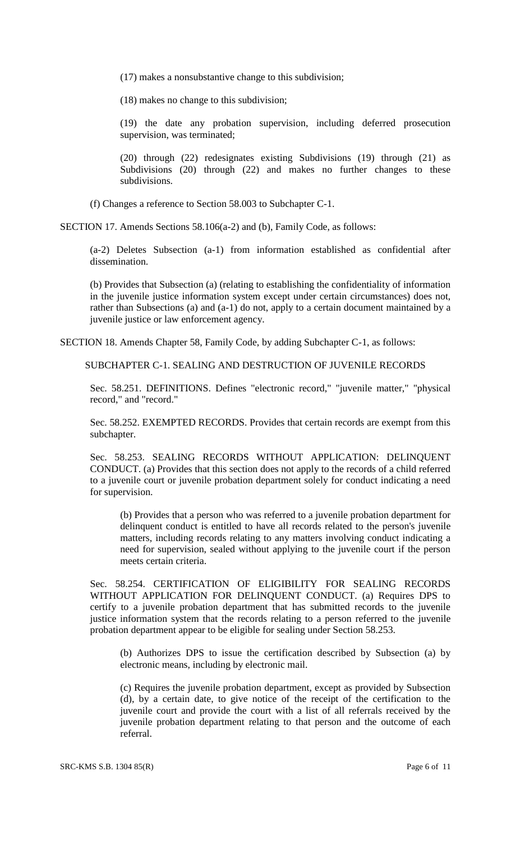- (17) makes a nonsubstantive change to this subdivision;
- (18) makes no change to this subdivision;

(19) the date any probation supervision, including deferred prosecution supervision, was terminated;

(20) through (22) redesignates existing Subdivisions (19) through (21) as Subdivisions (20) through (22) and makes no further changes to these subdivisions.

(f) Changes a reference to Section 58.003 to Subchapter C-1.

SECTION 17. Amends Sections 58.106(a-2) and (b), Family Code, as follows:

(a-2) Deletes Subsection (a-1) from information established as confidential after dissemination.

(b) Provides that Subsection (a) (relating to establishing the confidentiality of information in the juvenile justice information system except under certain circumstances) does not, rather than Subsections (a) and (a-1) do not, apply to a certain document maintained by a juvenile justice or law enforcement agency.

SECTION 18. Amends Chapter 58, Family Code, by adding Subchapter C-1, as follows:

SUBCHAPTER C-1. SEALING AND DESTRUCTION OF JUVENILE RECORDS

Sec. 58.251. DEFINITIONS. Defines "electronic record," "juvenile matter," "physical record," and "record."

Sec. 58.252. EXEMPTED RECORDS. Provides that certain records are exempt from this subchapter.

Sec. 58.253. SEALING RECORDS WITHOUT APPLICATION: DELINQUENT CONDUCT. (a) Provides that this section does not apply to the records of a child referred to a juvenile court or juvenile probation department solely for conduct indicating a need for supervision.

(b) Provides that a person who was referred to a juvenile probation department for delinquent conduct is entitled to have all records related to the person's juvenile matters, including records relating to any matters involving conduct indicating a need for supervision, sealed without applying to the juvenile court if the person meets certain criteria.

Sec. 58.254. CERTIFICATION OF ELIGIBILITY FOR SEALING RECORDS WITHOUT APPLICATION FOR DELINQUENT CONDUCT. (a) Requires DPS to certify to a juvenile probation department that has submitted records to the juvenile justice information system that the records relating to a person referred to the juvenile probation department appear to be eligible for sealing under Section 58.253.

(b) Authorizes DPS to issue the certification described by Subsection (a) by electronic means, including by electronic mail.

(c) Requires the juvenile probation department, except as provided by Subsection (d), by a certain date, to give notice of the receipt of the certification to the juvenile court and provide the court with a list of all referrals received by the juvenile probation department relating to that person and the outcome of each referral.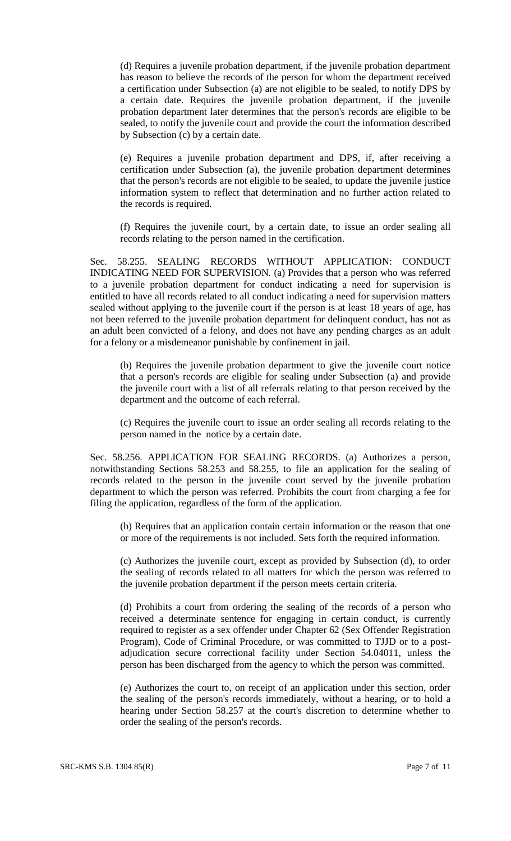(d) Requires a juvenile probation department, if the juvenile probation department has reason to believe the records of the person for whom the department received a certification under Subsection (a) are not eligible to be sealed, to notify DPS by a certain date. Requires the juvenile probation department, if the juvenile probation department later determines that the person's records are eligible to be sealed, to notify the juvenile court and provide the court the information described by Subsection (c) by a certain date.

(e) Requires a juvenile probation department and DPS, if, after receiving a certification under Subsection (a), the juvenile probation department determines that the person's records are not eligible to be sealed, to update the juvenile justice information system to reflect that determination and no further action related to the records is required.

(f) Requires the juvenile court, by a certain date, to issue an order sealing all records relating to the person named in the certification.

Sec. 58.255. SEALING RECORDS WITHOUT APPLICATION: CONDUCT INDICATING NEED FOR SUPERVISION. (a) Provides that a person who was referred to a juvenile probation department for conduct indicating a need for supervision is entitled to have all records related to all conduct indicating a need for supervision matters sealed without applying to the juvenile court if the person is at least 18 years of age, has not been referred to the juvenile probation department for delinquent conduct, has not as an adult been convicted of a felony, and does not have any pending charges as an adult for a felony or a misdemeanor punishable by confinement in jail.

(b) Requires the juvenile probation department to give the juvenile court notice that a person's records are eligible for sealing under Subsection (a) and provide the juvenile court with a list of all referrals relating to that person received by the department and the outcome of each referral.

(c) Requires the juvenile court to issue an order sealing all records relating to the person named in the notice by a certain date.

Sec. 58.256. APPLICATION FOR SEALING RECORDS. (a) Authorizes a person, notwithstanding Sections 58.253 and 58.255, to file an application for the sealing of records related to the person in the juvenile court served by the juvenile probation department to which the person was referred. Prohibits the court from charging a fee for filing the application, regardless of the form of the application.

(b) Requires that an application contain certain information or the reason that one or more of the requirements is not included. Sets forth the required information.

(c) Authorizes the juvenile court, except as provided by Subsection (d), to order the sealing of records related to all matters for which the person was referred to the juvenile probation department if the person meets certain criteria.

(d) Prohibits a court from ordering the sealing of the records of a person who received a determinate sentence for engaging in certain conduct, is currently required to register as a sex offender under Chapter 62 (Sex Offender Registration Program), Code of Criminal Procedure, or was committed to TJJD or to a postadjudication secure correctional facility under Section 54.04011, unless the person has been discharged from the agency to which the person was committed.

(e) Authorizes the court to, on receipt of an application under this section, order the sealing of the person's records immediately, without a hearing, or to hold a hearing under Section 58.257 at the court's discretion to determine whether to order the sealing of the person's records.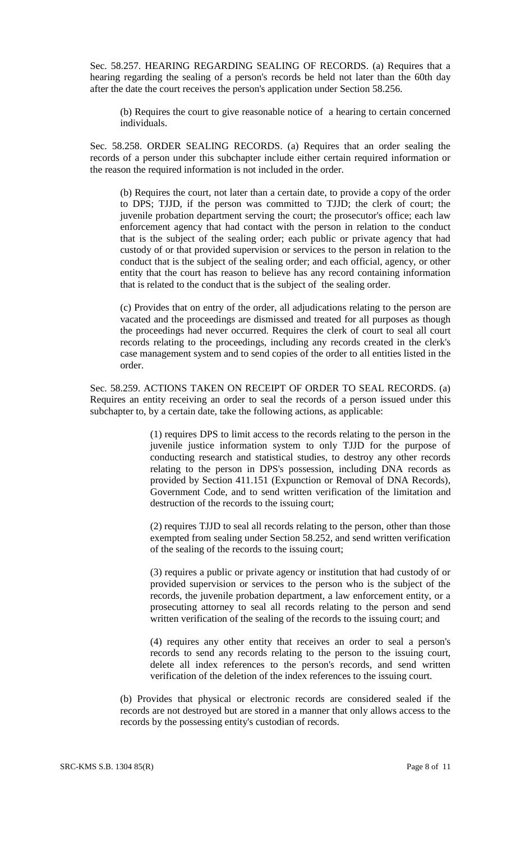Sec. 58.257. HEARING REGARDING SEALING OF RECORDS. (a) Requires that a hearing regarding the sealing of a person's records be held not later than the 60th day after the date the court receives the person's application under Section 58.256.

(b) Requires the court to give reasonable notice of a hearing to certain concerned individuals.

Sec. 58.258. ORDER SEALING RECORDS. (a) Requires that an order sealing the records of a person under this subchapter include either certain required information or the reason the required information is not included in the order.

(b) Requires the court, not later than a certain date, to provide a copy of the order to DPS; TJJD, if the person was committed to TJJD; the clerk of court; the juvenile probation department serving the court; the prosecutor's office; each law enforcement agency that had contact with the person in relation to the conduct that is the subject of the sealing order; each public or private agency that had custody of or that provided supervision or services to the person in relation to the conduct that is the subject of the sealing order; and each official, agency, or other entity that the court has reason to believe has any record containing information that is related to the conduct that is the subject of the sealing order.

(c) Provides that on entry of the order, all adjudications relating to the person are vacated and the proceedings are dismissed and treated for all purposes as though the proceedings had never occurred. Requires the clerk of court to seal all court records relating to the proceedings, including any records created in the clerk's case management system and to send copies of the order to all entities listed in the order.

Sec. 58.259. ACTIONS TAKEN ON RECEIPT OF ORDER TO SEAL RECORDS. (a) Requires an entity receiving an order to seal the records of a person issued under this subchapter to, by a certain date, take the following actions, as applicable:

> (1) requires DPS to limit access to the records relating to the person in the juvenile justice information system to only TJJD for the purpose of conducting research and statistical studies, to destroy any other records relating to the person in DPS's possession, including DNA records as provided by Section 411.151 (Expunction or Removal of DNA Records), Government Code, and to send written verification of the limitation and destruction of the records to the issuing court;

> (2) requires TJJD to seal all records relating to the person, other than those exempted from sealing under Section 58.252, and send written verification of the sealing of the records to the issuing court;

> (3) requires a public or private agency or institution that had custody of or provided supervision or services to the person who is the subject of the records, the juvenile probation department, a law enforcement entity, or a prosecuting attorney to seal all records relating to the person and send written verification of the sealing of the records to the issuing court; and

> (4) requires any other entity that receives an order to seal a person's records to send any records relating to the person to the issuing court, delete all index references to the person's records, and send written verification of the deletion of the index references to the issuing court.

(b) Provides that physical or electronic records are considered sealed if the records are not destroyed but are stored in a manner that only allows access to the records by the possessing entity's custodian of records.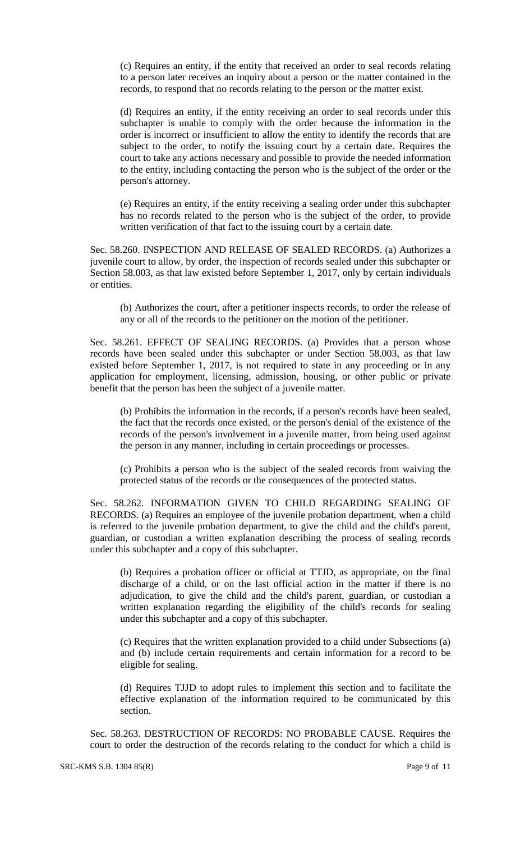(c) Requires an entity, if the entity that received an order to seal records relating to a person later receives an inquiry about a person or the matter contained in the records, to respond that no records relating to the person or the matter exist.

(d) Requires an entity, if the entity receiving an order to seal records under this subchapter is unable to comply with the order because the information in the order is incorrect or insufficient to allow the entity to identify the records that are subject to the order, to notify the issuing court by a certain date. Requires the court to take any actions necessary and possible to provide the needed information to the entity, including contacting the person who is the subject of the order or the person's attorney.

(e) Requires an entity, if the entity receiving a sealing order under this subchapter has no records related to the person who is the subject of the order, to provide written verification of that fact to the issuing court by a certain date.

Sec. 58.260. INSPECTION AND RELEASE OF SEALED RECORDS. (a) Authorizes a juvenile court to allow, by order, the inspection of records sealed under this subchapter or Section 58.003, as that law existed before September 1, 2017, only by certain individuals or entities.

(b) Authorizes the court, after a petitioner inspects records, to order the release of any or all of the records to the petitioner on the motion of the petitioner.

Sec. 58.261. EFFECT OF SEALING RECORDS. (a) Provides that a person whose records have been sealed under this subchapter or under Section 58.003, as that law existed before September 1, 2017, is not required to state in any proceeding or in any application for employment, licensing, admission, housing, or other public or private benefit that the person has been the subject of a juvenile matter.

(b) Prohibits the information in the records, if a person's records have been sealed, the fact that the records once existed, or the person's denial of the existence of the records of the person's involvement in a juvenile matter, from being used against the person in any manner, including in certain proceedings or processes.

(c) Prohibits a person who is the subject of the sealed records from waiving the protected status of the records or the consequences of the protected status.

Sec. 58.262. INFORMATION GIVEN TO CHILD REGARDING SEALING OF RECORDS. (a) Requires an employee of the juvenile probation department, when a child is referred to the juvenile probation department, to give the child and the child's parent, guardian, or custodian a written explanation describing the process of sealing records under this subchapter and a copy of this subchapter.

(b) Requires a probation officer or official at TTJD, as appropriate, on the final discharge of a child, or on the last official action in the matter if there is no adjudication, to give the child and the child's parent, guardian, or custodian a written explanation regarding the eligibility of the child's records for sealing under this subchapter and a copy of this subchapter.

(c) Requires that the written explanation provided to a child under Subsections (a) and (b) include certain requirements and certain information for a record to be eligible for sealing.

(d) Requires TJJD to adopt rules to implement this section and to facilitate the effective explanation of the information required to be communicated by this section.

Sec. 58.263. DESTRUCTION OF RECORDS: NO PROBABLE CAUSE. Requires the court to order the destruction of the records relating to the conduct for which a child is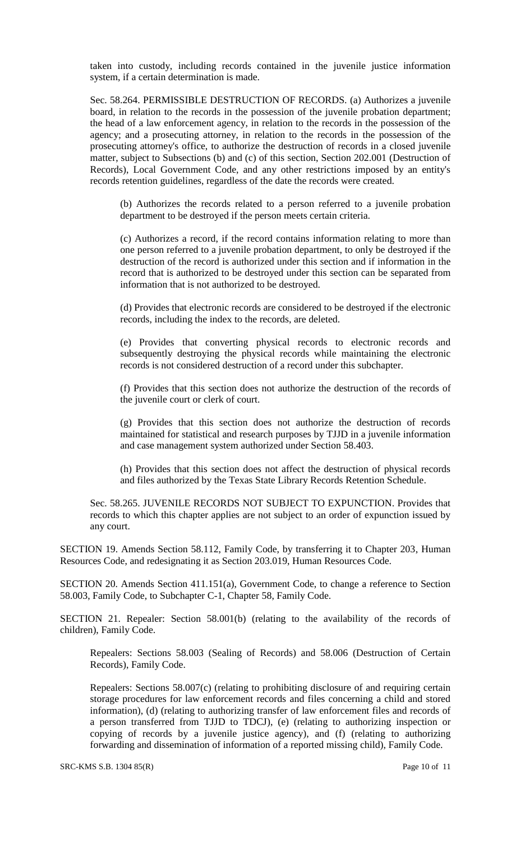taken into custody, including records contained in the juvenile justice information system, if a certain determination is made.

Sec. 58.264. PERMISSIBLE DESTRUCTION OF RECORDS. (a) Authorizes a juvenile board, in relation to the records in the possession of the juvenile probation department; the head of a law enforcement agency, in relation to the records in the possession of the agency; and a prosecuting attorney, in relation to the records in the possession of the prosecuting attorney's office, to authorize the destruction of records in a closed juvenile matter, subject to Subsections (b) and (c) of this section, Section 202.001 (Destruction of Records), Local Government Code, and any other restrictions imposed by an entity's records retention guidelines, regardless of the date the records were created.

(b) Authorizes the records related to a person referred to a juvenile probation department to be destroyed if the person meets certain criteria.

(c) Authorizes a record, if the record contains information relating to more than one person referred to a juvenile probation department, to only be destroyed if the destruction of the record is authorized under this section and if information in the record that is authorized to be destroyed under this section can be separated from information that is not authorized to be destroyed.

(d) Provides that electronic records are considered to be destroyed if the electronic records, including the index to the records, are deleted.

(e) Provides that converting physical records to electronic records and subsequently destroying the physical records while maintaining the electronic records is not considered destruction of a record under this subchapter.

(f) Provides that this section does not authorize the destruction of the records of the juvenile court or clerk of court.

(g) Provides that this section does not authorize the destruction of records maintained for statistical and research purposes by TJJD in a juvenile information and case management system authorized under Section 58.403.

(h) Provides that this section does not affect the destruction of physical records and files authorized by the Texas State Library Records Retention Schedule.

Sec. 58.265. JUVENILE RECORDS NOT SUBJECT TO EXPUNCTION. Provides that records to which this chapter applies are not subject to an order of expunction issued by any court.

SECTION 19. Amends Section 58.112, Family Code, by transferring it to Chapter 203, Human Resources Code, and redesignating it as Section 203.019, Human Resources Code.

SECTION 20. Amends Section 411.151(a), Government Code, to change a reference to Section 58.003, Family Code, to Subchapter C-1, Chapter 58, Family Code.

SECTION 21. Repealer: Section 58.001(b) (relating to the availability of the records of children), Family Code.

Repealers: Sections 58.003 (Sealing of Records) and 58.006 (Destruction of Certain Records), Family Code.

Repealers: Sections 58.007(c) (relating to prohibiting disclosure of and requiring certain storage procedures for law enforcement records and files concerning a child and stored information), (d) (relating to authorizing transfer of law enforcement files and records of a person transferred from TJJD to TDCJ), (e) (relating to authorizing inspection or copying of records by a juvenile justice agency), and (f) (relating to authorizing forwarding and dissemination of information of a reported missing child), Family Code.